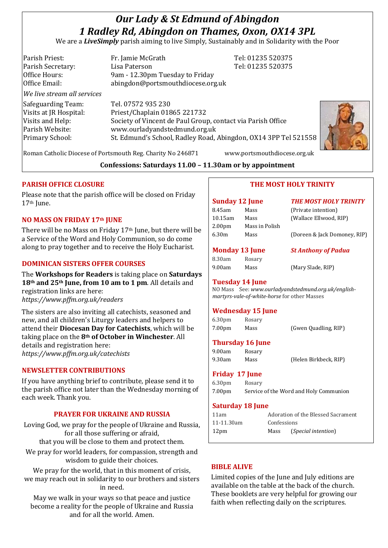# *Our Lady & St Edmund of Abingdon 1 Radley Rd, Abingdon on Thames, Oxon, OX14 3PL*

We are a *LiveSimply* parish aiming to live Simply, Sustainably and in Solidarity with the Poor

| Parish Priest:<br>Parish Secretary:<br>Office Hours:<br>Office Email:                                         | Fr. Jamie McGrath<br>Lisa Paterson<br>9am - 12.30pm Tuesday to Friday<br>abingdon@portsmouthdiocese.org.uk                                                                                                            | Tel: 01235 520375<br>Tel: 01235 520375 |
|---------------------------------------------------------------------------------------------------------------|-----------------------------------------------------------------------------------------------------------------------------------------------------------------------------------------------------------------------|----------------------------------------|
| We live stream all services                                                                                   |                                                                                                                                                                                                                       |                                        |
| Safeguarding Team:<br>Visits at JR Hospital:<br>Visits and Help:<br>Parish Website:<br><b>Primary School:</b> | Tel. 07572 935 230<br>Priest/Chaplain 01865 221732<br>Society of Vincent de Paul Group, contact via Parish Office<br>www.ourladyandstedmund.org.uk<br>St. Edmund's School, Radley Road, Abingdon, OX14 3PP Tel 521558 |                                        |



Roman Catholic Diocese of Portsmouth Reg. Charity No 246871 www.portsmouthdiocese.org.uk

## **Confessions: Saturdays 11.00 – 11.30am or by appointment**

## **PARISH OFFICE CLOSURE**

Please note that the parish office will be closed on Friday 17<sup>th</sup> June.

## **NO MASS ON FRIDAY 17th JUNE**

There will be no Mass on Friday 17th June, but there will be a Service of the Word and Holy Communion, so do come along to pray together and to receive the Holy Eucharist.

## **DOMINICAN SISTERS OFFER COURSES**

The **Workshops for Readers** is taking place on **Saturdays 18th and 25th June, from 10 am to 1 pm**. All details and registration links are here:

*https://www.pffm.org.uk/readers*

The sisters are also inviting all catechists, seasoned and new, and all children's Liturgy leaders and helpers to attend their **Diocesan Day for Catechists**, which will be taking place on the **8th of October in Winchester**. All details and registration here: *https://www.pffm.org.uk/catechists*

## **NEWSLETTER CONTRIBUTIONS**

If you have anything brief to contribute, please send it to the parish office not later than the Wednesday morning of each week. Thank you.

## **PRAYER FOR UKRAINE AND RUSSIA**

Loving God, we pray for the people of Ukraine and Russia, for all those suffering or afraid, that you will be close to them and protect them.

We pray for world leaders, for compassion, strength and wisdom to guide their choices.

We pray for the world, that in this moment of crisis, we may reach out in solidarity to our brothers and sisters in need.

May we walk in your ways so that peace and justice become a reality for the people of Ukraine and Russia and for all the world. Amen.

# **THE MOST HOLY TRINITY**

| <b>Sunday 12 June</b> |                | <b>THE MOST HOLY TRINITY</b> |
|-----------------------|----------------|------------------------------|
| 8.45am                | Mass           | (Private intention)          |
| $10.15$ am            | Mass           | (Wallace Ellwood, RIP)       |
| 2.00 <sub>pm</sub>    | Mass in Polish |                              |
| 6.30m                 | Mass           | (Doreen & Jack Domoney, RIP) |

**Monday 13 June** *St Anthony of Padua*

8.30am Rosary 9.00am Mass (Mary Slade, RIP)

#### **Tuesday 14 June**

NO Mass See: *www.ourladyandstedmund.org.uk/englishmartyrs-vale-of-white-horse* for other Masses

#### **Wednesday 15 June**

6.30pm Rosary 7.00pm Mass (Gwen Quadling, RIP)

#### **Thursday 16 June**

9.00am Rosary 9.30am Mass (Helen Birkbeck, RIP)

#### **Friday 17 June**

6.30pm Rosary 7.00pm Service of the Word and Holy Communion

#### **Saturday 18 June**

| 11am             | Adoration of the Blessed Sacrament |                              |
|------------------|------------------------------------|------------------------------|
| 11-11.30am       | Confessions                        |                              |
| 12 <sub>pm</sub> | Mass                               | ( <i>Special intention</i> ) |

#### **BIBLE ALIVE**

Limited copies of the June and July editions are available on the table at the back of the church. These booklets are very helpful for growing our faith when reflecting daily on the scriptures.